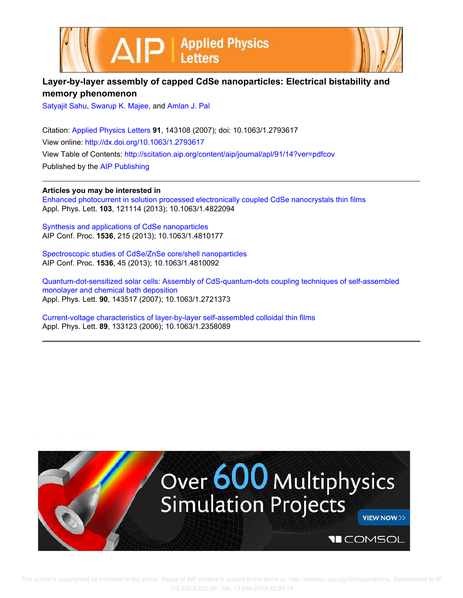



## **Layer-by-layer assembly of capped CdSe nanoparticles: Electrical bistability and memory phenomenon**

Satyajit Sahu, Swarup K. Majee, and Amlan J. Pal

Citation: Applied Physics Letters **91**, 143108 (2007); doi: 10.1063/1.2793617 View online: http://dx.doi.org/10.1063/1.2793617 View Table of Contents: http://scitation.aip.org/content/aip/journal/apl/91/14?ver=pdfcov Published by the AIP Publishing

## **Articles you may be interested in**

Enhanced photocurrent in solution processed electronically coupled CdSe nanocrystals thin films Appl. Phys. Lett. **103**, 121114 (2013); 10.1063/1.4822094

Synthesis and applications of CdSe nanoparticles AIP Conf. Proc. **1536**, 215 (2013); 10.1063/1.4810177

Spectroscopic studies of CdSe/ZnSe core/shell nanoparticles AIP Conf. Proc. **1536**, 45 (2013); 10.1063/1.4810092

Quantum-dot-sensitized solar cells: Assembly of CdS-quantum-dots coupling techniques of self-assembled monolayer and chemical bath deposition Appl. Phys. Lett. **90**, 143517 (2007); 10.1063/1.2721373

Current-voltage characteristics of layer-by-layer self-assembled colloidal thin films Appl. Phys. Lett. **89**, 133123 (2006); 10.1063/1.2358089

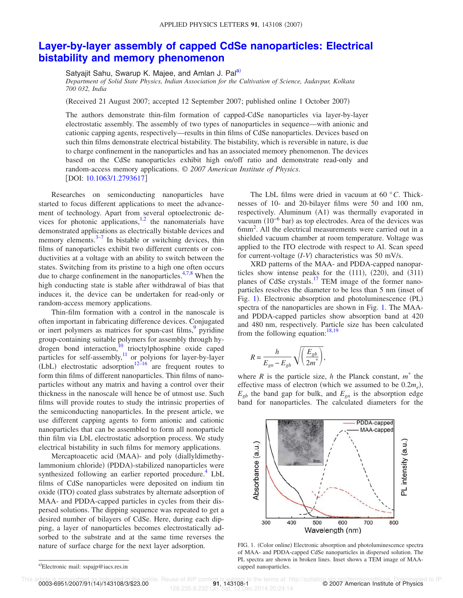## **Layer-by-layer assembly of capped CdSe nanoparticles: Electrical bistability and memory phenomenon**

Satyajit Sahu, Swarup K. Majee, and Amlan J. Pal<sup>a)</sup>

*Department of Solid State Physics, Indian Association for the Cultivation of Science, Jadavpur, Kolkata 700 032, India*

Received 21 August 2007; accepted 12 September 2007; published online 1 October 2007-

The authors demonstrate thin-film formation of capped-CdSe nanoparticles via layer-by-layer electrostatic assembly. The assembly of two types of nanoparticles in sequence—with anionic and cationic capping agents, respectively—results in thin films of CdSe nanoparticles. Devices based on such thin films demonstrate electrical bistability. The bistability, which is reversible in nature, is due to charge confinement in the nanoparticles and has an associated memory phenomenon. The devices based on the CdSe nanoparticles exhibit high on/off ratio and demonstrate read-only and random-access memory applications. © *2007 American Institute of Physics*. [DOI: 10.1063/1.2793617]

Researches on semiconducting nanoparticles have started to focus different applications to meet the advancement of technology. Apart from several optoelectronic devices for photonic applications, $1,2$  the nanomaterials have demonstrated applications as electrically bistable devices and memory elements.<sup>3-7</sup> In bistable or switching devices, thin films of nanoparticles exhibit two different currents or conductivities at a voltage with an ability to switch between the states. Switching from its pristine to a high one often occurs due to charge confinement in the nanoparticles.<sup>4,7,8</sup> When the high conducting state is stable after withdrawal of bias that induces it, the device can be undertaken for read-only or random-access memory applications.

Thin-film formation with a control in the nanoscale is often important in fabricating difference devices. Conjugated or inert polymers as matrices for spun-cast films,<sup>9</sup> pyridine group-containing suitable polymers for assembly through hydrogen bond interaction,<sup>10</sup> trioctylphosphine oxide caped particles for self-assembly,<sup>11</sup> or polyions for layer-by-layer  $(LbL)$  electrostatic adsorption<sup>12–16</sup> are frequent routes to form thin films of different nanoparticles. Thin films of nanoparticles without any matrix and having a control over their thickness in the nanoscale will hence be of utmost use. Such films will provide routes to study the intrinsic properties of the semiconducting nanoparticles. In the present article, we use different capping agents to form anionic and cationic nanoparticles that can be assembled to form all nonoparticle thin film via LbL electrostatic adsorption process. We study electrical bistability in such films for memory applications.

Mercaptoacetic acid (MAA)- and poly (diallyldimethylammonium chloride) (PDDA)-stabilized nanoparticles were synthesized following an earlier reported procedure.<sup>4</sup> LbL films of CdSe nanoparticles were deposited on indium tin oxide (ITO) coated glass substrates by alternate adsorption of MAA- and PDDA-capped particles in cycles from their dispersed solutions. The dipping sequence was repeated to get a desired number of bilayers of CdSe. Here, during each dipping, a layer of nanoparticles becomes electrostatically adsorbed to the substrate and at the same time reverses the nature of surface charge for the next layer adsorption.

XRD patterns of the MAA- and PDDA-capped nanoparticles show intense peaks for the  $(111)$ ,  $(220)$ , and  $(311)$ planes of CdSe crystals.<sup>17</sup> TEM image of the former nanoparticles resolves the diameter to be less than 5 nm (inset of Fig. 1). Electronic absorption and photoluminescence (PL) spectra of the nanoparticles are shown in Fig. 1. The MAAand PDDA-capped particles show absorption band at 420 and 480 nm, respectively. Particle size has been calculated from the following equation:  $18,19$ 

$$
R = \frac{h}{E_{gn} - E_{gb}} \sqrt{\left(\frac{E_{gb}}{2m^*}\right)},
$$

where *R* is the particle size, *h* the Planck constant,  $m^*$  the effective mass of electron (which we assumed to be  $0.2m_e$ ),  $E_{gb}$  the band gap for bulk, and  $E_{gn}$  is the absorption edge band for nanoparticles. The calculated diameters for the



FIG. 1. (Color online) Electronic absorption and photoluminescence spectra of MAA- and PDDA-capped CdSe nanoparticles in dispersed solution. The PL spectra are shown in broken lines. Inset shows a TEM image of MAAcapped nanoparticles.

0003-6951/2007/91(14)/143108/3/\$23.00

128.235.8.232 On: Sat, 13 Dec 2014 20:24:14

The LbL films were dried in vacuum at 60 °*C*. Thicknesses of 10- and 20-bilayer films were 50 and 100 nm, respectively. Aluminum (A1) was thermally evaporated in vacuum  $(10^{-6}$  bar) as top electrodes. Area of the devices was 6mm<sup>2</sup> . All the electrical measurements were carried out in a shielded vacuum chamber at room temperature. Voltage was applied to the ITO electrode with respect to Al. Scan speed for current-voltage (*I*-*V*) characteristics was 50 mV/s.

a)Electronic mail: sspajp@iacs.res.in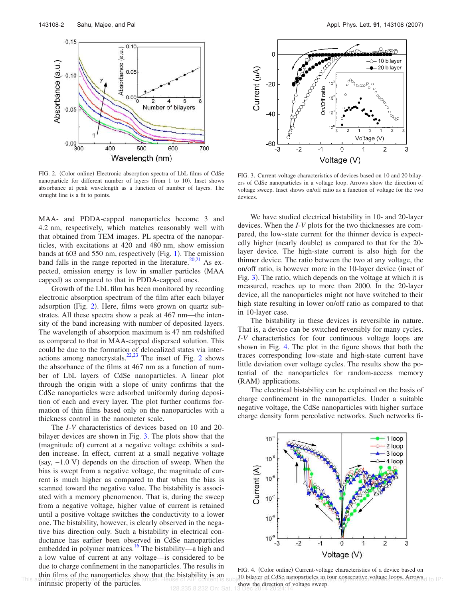

FIG. 2. (Color online) Electronic absorption spectra of LbL films of CdSe nanoparticle for different number of layers (from 1 to 10). Inset shows absorbance at peak wavelength as a function of number of layers. The straight line is a fit to points.

MAA- and PDDA-capped nanoparticles become 3 and 4.2 nm, respectively, which matches reasonably well with that obtained from TEM images. PL spectra of the nanoparticles, with excitations at 420 and 480 nm, show emission bands at  $603$  and  $550$  nm, respectively (Fig. 1). The emission band falls in the range reported in the literature.<sup>20,21</sup> As expected, emission energy is low in smaller particles (MAA capped) as compared to that in PDDA-capped ones.

Growth of the LbL film has been monitored by recording electronic absorption spectrum of the film after each bilayer adsorption (Fig. 2). Here, films were grown on quartz substrates. All these spectra show a peak at 467 nm—the intensity of the band increasing with number of deposited layers. The wavelength of absorption maximum is 47 nm redshifted as compared to that in MAA-capped dispersed solution. This could be due to the formation of delocalized states via interactions among nanocrystals.<sup>22,23</sup> The inset of Fig. 2 shows the absorbance of the films at 467 nm as a function of number of LbL layers of CdSe nanoparticles. A linear plot through the origin with a slope of unity confirms that the CdSe nanoparticles were adsorbed uniformly during deposition of each and every layer. The plot further confirms formation of thin films based only on the nanoparticles with a thickness control in the nanometer scale.

The *I*-*V* characteristics of devices based on 10 and 20 bilayer devices are shown in Fig. 3. The plots show that the (magnitude of) current at a negative voltage exhibits a sudden increase. In effect, current at a small negative voltage  $(say, -1.0 \text{ V})$  depends on the direction of sweep. When the bias is swept from a negative voltage, the magnitude of current is much higher as compared to that when the bias is scanned toward the negative value. The bistability is associated with a memory phenomenon. That is, during the sweep from a negative voltage, higher value of current is retained until a positive voltage switches the conductivity to a lower one. The bistability, however, is clearly observed in the negative bias direction only. Such a bistability in electrical conductance has earlier been observed in CdSe nanoparticles embedded in polymer matrices.<sup>16</sup> The bistability—a high and a low value of current at any voltage—is considered to be due to charge confinement in the nanoparticles. The results in thin films of the nanoparticles show that the bistability is an

128.235.8.232 On: Sat



FIG. 3. Current-voltage characteristics of devices based on 10 and 20 bilayers of CdSe nanoparticles in a voltage loop. Arrows show the direction of voltage sweep. Inset shows on/off ratio as a function of voltage for the two devices.

We have studied electrical bistability in 10- and 20-layer devices. When the *I*-*V* plots for the two thicknesses are compared, the low-state current for the thinner device is expectedly higher (nearly double) as compared to that for the 20layer device. The high-state current is also high for the thinner device. The ratio between the two at any voltage, the on/off ratio, is however more in the 10-layer device (inset of Fig. 3). The ratio, which depends on the voltage at which it is measured, reaches up to more than 2000. In the 20-layer device, all the nanoparticles might not have switched to their high state resulting in lower on/off ratio as compared to that in 10-layer case.

The bistability in these devices is reversible in nature. That is, a device can be switched reversibly for many cycles. *I*-*V* characteristics for four continuous voltage loops are shown in Fig. 4. The plot in the figure shows that both the traces corresponding low-state and high-state current have little deviation over voltage cycles. The results show the potential of the nanoparticles for random-access memory (RAM) applications.

The electrical bistability can be explained on the basis of charge confinement in the nanoparticles. Under a suitable negative voltage, the CdSe nanoparticles with higher surface charge density form percolative networks. Such networks fi-



FIG. 4. (Color online) Current-voltage characteristics of a device based on This article is copyrighted as indicated in the article. He use of AIP content is subject below to conserve the strategy consecutive voltage loops. Arrows d to IP: show the direction of voltage sweep.